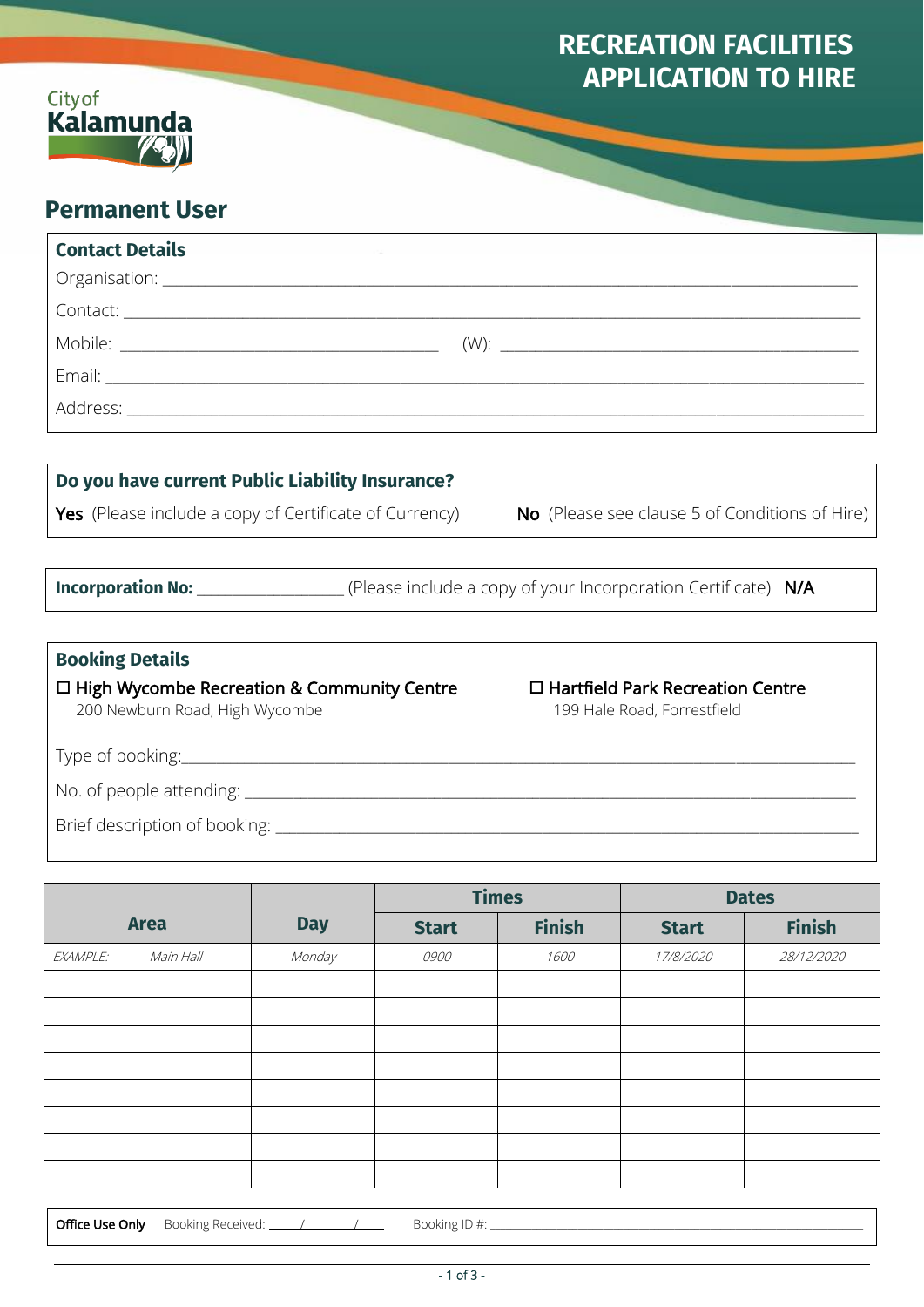# **RECREATION FACILITIES APPLICATION TO HIRE**



# **Permanent User**

| <b>Contact Details</b>                                                              |  |                                                                                                             |  |  |  |  |  |
|-------------------------------------------------------------------------------------|--|-------------------------------------------------------------------------------------------------------------|--|--|--|--|--|
|                                                                                     |  |                                                                                                             |  |  |  |  |  |
|                                                                                     |  |                                                                                                             |  |  |  |  |  |
|                                                                                     |  |                                                                                                             |  |  |  |  |  |
|                                                                                     |  |                                                                                                             |  |  |  |  |  |
|                                                                                     |  |                                                                                                             |  |  |  |  |  |
|                                                                                     |  |                                                                                                             |  |  |  |  |  |
| Do you have current Public Liability Insurance?                                     |  |                                                                                                             |  |  |  |  |  |
| <b>Yes</b> (Please include a copy of Certificate of Currency)                       |  | <b>No</b> (Please see clause 5 of Conditions of Hire)                                                       |  |  |  |  |  |
|                                                                                     |  |                                                                                                             |  |  |  |  |  |
|                                                                                     |  | <b>Incorporation No:</b> _____________________(Please include a copy of your Incorporation Certificate) N/A |  |  |  |  |  |
|                                                                                     |  |                                                                                                             |  |  |  |  |  |
| <b>Booking Details</b>                                                              |  |                                                                                                             |  |  |  |  |  |
| $\Box$ High Wycombe Recreation & Community Centre<br>200 Newburn Road, High Wycombe |  | $\Box$ Hartfield Park Recreation Centre<br>199 Hale Road, Forrestfield                                      |  |  |  |  |  |
|                                                                                     |  |                                                                                                             |  |  |  |  |  |
|                                                                                     |  |                                                                                                             |  |  |  |  |  |
|                                                                                     |  |                                                                                                             |  |  |  |  |  |

l

|                       |            | <b>Times</b> |               | <b>Dates</b> |               |
|-----------------------|------------|--------------|---------------|--------------|---------------|
| <b>Area</b>           | <b>Day</b> | <b>Start</b> | <b>Finish</b> | <b>Start</b> | <b>Finish</b> |
| Main Hall<br>EXAMPLE: | Monday     | 0900         | 1600          | 17/8/2020    | 28/12/2020    |
|                       |            |              |               |              |               |
|                       |            |              |               |              |               |
|                       |            |              |               |              |               |
|                       |            |              |               |              |               |
|                       |            |              |               |              |               |
|                       |            |              |               |              |               |
|                       |            |              |               |              |               |
|                       |            |              |               |              |               |

Office Use Only Booking Received: /\_\_\_\_\_\_\_\_\_ / Booking ID #: \_\_\_\_\_\_\_\_\_\_\_\_\_\_\_\_\_\_\_\_\_\_\_\_\_\_\_\_\_\_\_\_\_\_\_\_\_\_\_\_\_\_\_\_\_\_\_\_\_\_\_\_\_\_\_\_\_\_\_\_\_\_\_\_\_\_\_\_\_\_\_\_\_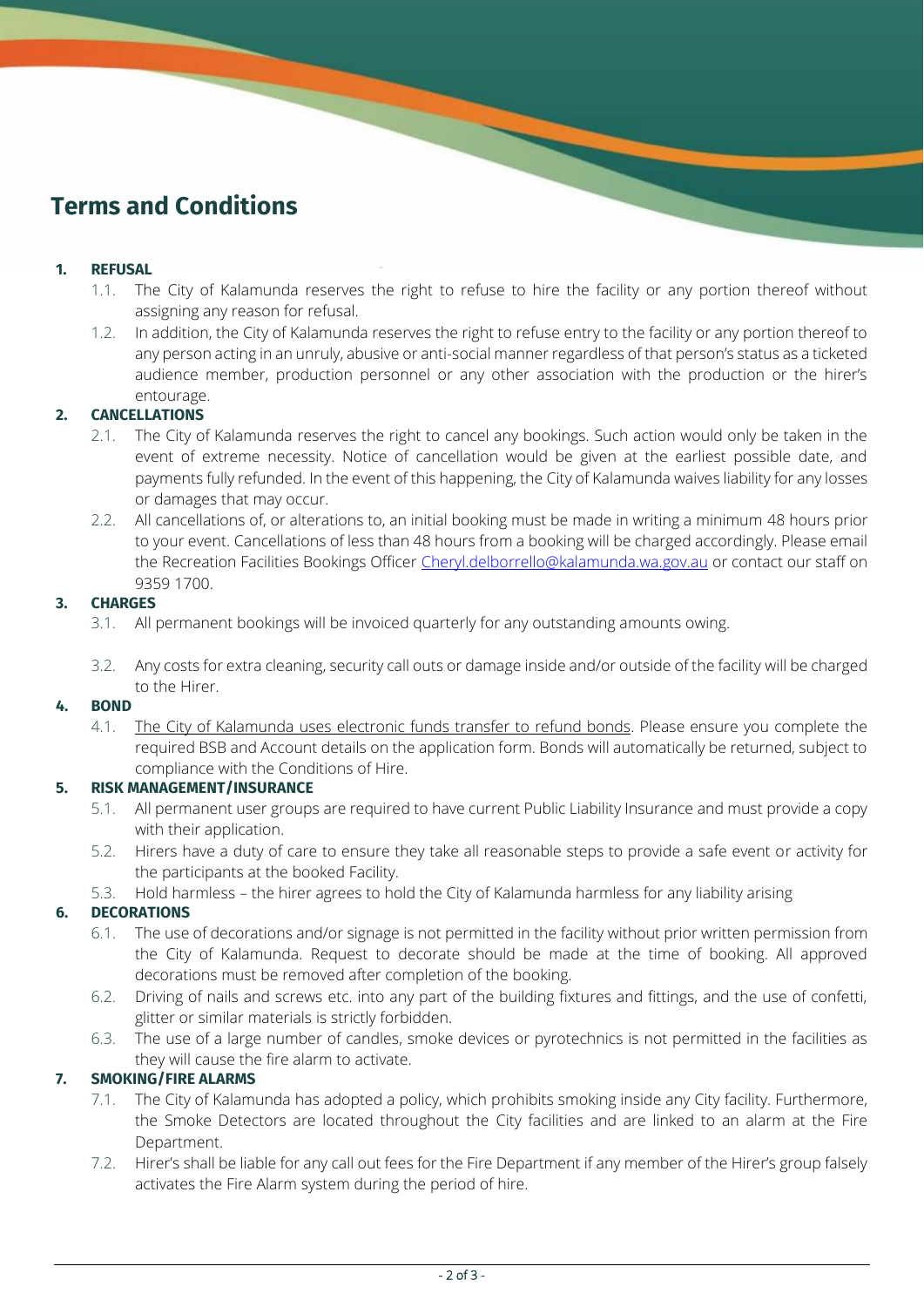# **Terms and Conditions**

# **1. REFUSAL**

ı

- 1.1. The City of Kalamunda reserves the right to refuse to hire the facility or any portion thereof without assigning any reason for refusal.
- 1.2. In addition, the City of Kalamunda reserves the right to refuse entry to the facility or any portion thereof to any person acting in an unruly, abusive or anti-social manner regardless of that person's status as a ticketed audience member, production personnel or any other association with the production or the hirer's entourage.

# **2. CANCELLATIONS**

- 2.1. The City of Kalamunda reserves the right to cancel any bookings. Such action would only be taken in the event of extreme necessity. Notice of cancellation would be given at the earliest possible date, and payments fully refunded. In the event of this happening, the City of Kalamunda waives liability for any losses or damages that may occur.
- 2.2. All cancellations of, or alterations to, an initial booking must be made in writing a minimum 48 hours prior to your event. Cancellations of less than 48 hours from a booking will be charged accordingly. Please email the Recreation Facilities Bookings Officer [Cheryl.delborrello@kalamunda.wa.gov.au](mailto:Cheryl.delborrello@kalamunda.wa.gov.au) or contact our staff on 9359 1700.

# **3. CHARGES**

- 3.1. All permanent bookings will be invoiced quarterly for any outstanding amounts owing.
- 3.2. Any costs for extra cleaning, security call outs or damage inside and/or outside of the facility will be charged to the Hirer.

## **4. BOND**

4.1. The City of Kalamunda uses electronic funds transfer to refund bonds. Please ensure you complete the required BSB and Account details on the application form. Bonds will automatically be returned, subject to compliance with the Conditions of Hire.

# **5. RISK MANAGEMENT/INSURANCE**

- 5.1. All permanent user groups are required to have current Public Liability Insurance and must provide a copy with their application.
- 5.2. Hirers have a duty of care to ensure they take all reasonable steps to provide a safe event or activity for the participants at the booked Facility.
- 5.3. Hold harmless the hirer agrees to hold the City of Kalamunda harmless for any liability arising

# **6. DECORATIONS**

- 6.1. The use of decorations and/or signage is not permitted in the facility without prior written permission from the City of Kalamunda. Request to decorate should be made at the time of booking. All approved decorations must be removed after completion of the booking.
- 6.2. Driving of nails and screws etc. into any part of the building fixtures and fittings, and the use of confetti, glitter or similar materials is strictly forbidden.
- 6.3. The use of a large number of candles, smoke devices or pyrotechnics is not permitted in the facilities as they will cause the fire alarm to activate.

# **7. SMOKING/FIRE ALARMS**

- 7.1. The City of Kalamunda has adopted a policy, which prohibits smoking inside any City facility. Furthermore, the Smoke Detectors are located throughout the City facilities and are linked to an alarm at the Fire Department.
- 7.2. Hirer's shall be liable for any call out fees for the Fire Department if any member of the Hirer's group falsely activates the Fire Alarm system during the period of hire.